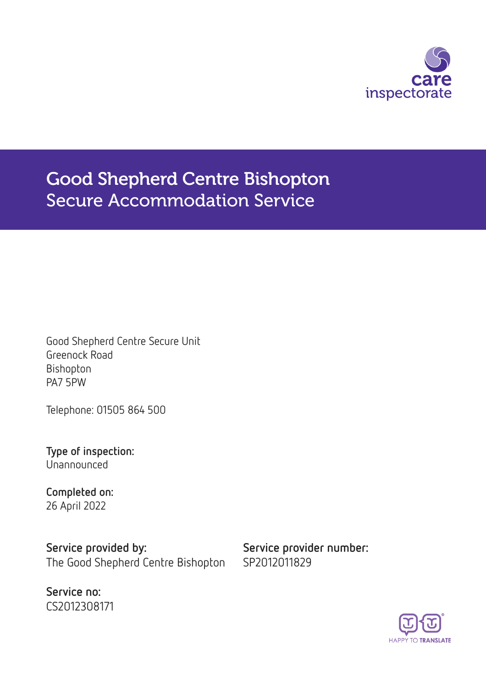

# Good Shepherd Centre Bishopton Secure Accommodation Service

Good Shepherd Centre Secure Unit Greenock Road Bishopton PA7 5PW

Telephone: 01505 864 500

Type of inspection: Unannounced

Completed on: 26 April 2022

Service provided by: Service provider number: The Good Shepherd Centre Bishopton SP2012011829

Service no: CS2012308171

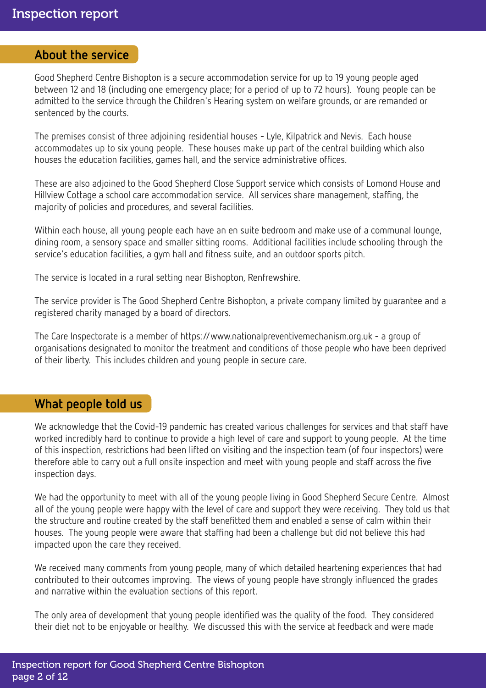#### About the service

Good Shepherd Centre Bishopton is a secure accommodation service for up to 19 young people aged between 12 and 18 (including one emergency place; for a period of up to 72 hours). Young people can be admitted to the service through the Children's Hearing system on welfare grounds, or are remanded or sentenced by the courts.

The premises consist of three adjoining residential houses - Lyle, Kilpatrick and Nevis. Each house accommodates up to six young people. These houses make up part of the central building which also houses the education facilities, games hall, and the service administrative offices.

These are also adjoined to the Good Shepherd Close Support service which consists of Lomond House and Hillview Cottage a school care accommodation service. All services share management, staffing, the majority of policies and procedures, and several facilities.

Within each house, all young people each have an en suite bedroom and make use of a communal lounge, dining room, a sensory space and smaller sitting rooms. Additional facilities include schooling through the service's education facilities, a gym hall and fitness suite, and an outdoor sports pitch.

The service is located in a rural setting near Bishopton, Renfrewshire.

The service provider is The Good Shepherd Centre Bishopton, a private company limited by guarantee and a registered charity managed by a board of directors.

The Care Inspectorate is a member of https://www.nationalpreventivemechanism.org.uk - a group of organisations designated to monitor the treatment and conditions of those people who have been deprived of their liberty. This includes children and young people in secure care.

### What people told us

We acknowledge that the Covid-19 pandemic has created various challenges for services and that staff have worked incredibly hard to continue to provide a high level of care and support to young people. At the time of this inspection, restrictions had been lifted on visiting and the inspection team (of four inspectors) were therefore able to carry out a full onsite inspection and meet with young people and staff across the five inspection days.

We had the opportunity to meet with all of the young people living in Good Shepherd Secure Centre. Almost all of the young people were happy with the level of care and support they were receiving. They told us that the structure and routine created by the staff benefitted them and enabled a sense of calm within their houses. The young people were aware that staffing had been a challenge but did not believe this had impacted upon the care they received.

We received many comments from young people, many of which detailed heartening experiences that had contributed to their outcomes improving. The views of young people have strongly influenced the grades and narrative within the evaluation sections of this report.

The only area of development that young people identified was the quality of the food. They considered their diet not to be enjoyable or healthy. We discussed this with the service at feedback and were made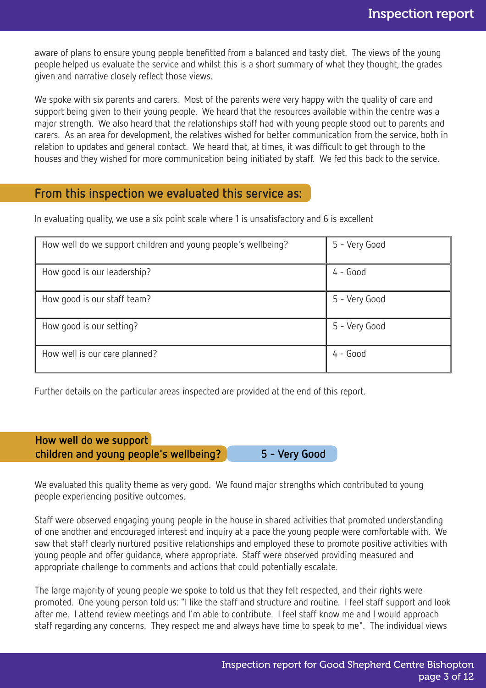aware of plans to ensure young people benefitted from a balanced and tasty diet. The views of the young people helped us evaluate the service and whilst this is a short summary of what they thought, the grades given and narrative closely reflect those views.

We spoke with six parents and carers. Most of the parents were very happy with the quality of care and support being given to their young people. We heard that the resources available within the centre was a major strength. We also heard that the relationships staff had with young people stood out to parents and carers. As an area for development, the relatives wished for better communication from the service, both in relation to updates and general contact. We heard that, at times, it was difficult to get through to the houses and they wished for more communication being initiated by staff. We fed this back to the service.

### From this inspection we evaluated this service as:

In evaluating quality, we use a six point scale where 1 is unsatisfactory and 6 is excellent

| How well do we support children and young people's wellbeing? | 5 - Very Good |
|---------------------------------------------------------------|---------------|
| How good is our leadership?                                   | $4 - Good$    |
| How good is our staff team?                                   | 5 - Very Good |
| How good is our setting?                                      | 5 - Very Good |
| How well is our care planned?                                 | $4 - Good$    |

Further details on the particular areas inspected are provided at the end of this report.

How well do we support children and young people's wellbeing? 5 - Very Good

We evaluated this quality theme as very good. We found major strengths which contributed to young people experiencing positive outcomes.

Staff were observed engaging young people in the house in shared activities that promoted understanding of one another and encouraged interest and inquiry at a pace the young people were comfortable with. We saw that staff clearly nurtured positive relationships and employed these to promote positive activities with young people and offer guidance, where appropriate. Staff were observed providing measured and appropriate challenge to comments and actions that could potentially escalate.

The large majority of young people we spoke to told us that they felt respected, and their rights were promoted. One young person told us: "I like the staff and structure and routine. I feel staff support and look after me. I attend review meetings and I'm able to contribute. I feel staff know me and I would approach staff regarding any concerns. They respect me and always have time to speak to me". The individual views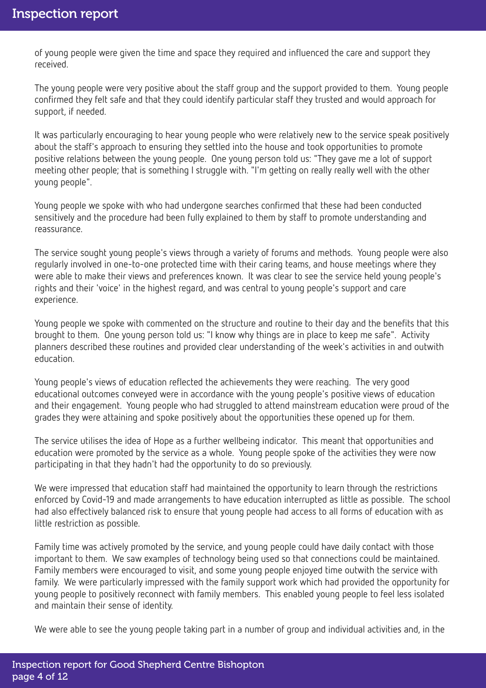of young people were given the time and space they required and influenced the care and support they received.

The young people were very positive about the staff group and the support provided to them. Young people confirmed they felt safe and that they could identify particular staff they trusted and would approach for support, if needed.

It was particularly encouraging to hear young people who were relatively new to the service speak positively about the staff's approach to ensuring they settled into the house and took opportunities to promote positive relations between the young people. One young person told us: "They gave me a lot of support meeting other people; that is something I struggle with. "I'm getting on really really well with the other young people".

Young people we spoke with who had undergone searches confirmed that these had been conducted sensitively and the procedure had been fully explained to them by staff to promote understanding and reassurance.

The service sought young people's views through a variety of forums and methods. Young people were also regularly involved in one-to-one protected time with their caring teams, and house meetings where they were able to make their views and preferences known. It was clear to see the service held young people's rights and their 'voice' in the highest regard, and was central to young people's support and care experience.

Young people we spoke with commented on the structure and routine to their day and the benefits that this brought to them. One young person told us: "I know why things are in place to keep me safe". Activity planners described these routines and provided clear understanding of the week's activities in and outwith education.

Young people's views of education reflected the achievements they were reaching. The very good educational outcomes conveyed were in accordance with the young people's positive views of education and their engagement. Young people who had struggled to attend mainstream education were proud of the grades they were attaining and spoke positively about the opportunities these opened up for them.

The service utilises the idea of Hope as a further wellbeing indicator. This meant that opportunities and education were promoted by the service as a whole. Young people spoke of the activities they were now participating in that they hadn't had the opportunity to do so previously.

We were impressed that education staff had maintained the opportunity to learn through the restrictions enforced by Covid-19 and made arrangements to have education interrupted as little as possible. The school had also effectively balanced risk to ensure that young people had access to all forms of education with as little restriction as possible.

Family time was actively promoted by the service, and young people could have daily contact with those important to them. We saw examples of technology being used so that connections could be maintained. Family members were encouraged to visit, and some young people enjoyed time outwith the service with family. We were particularly impressed with the family support work which had provided the opportunity for young people to positively reconnect with family members. This enabled young people to feel less isolated and maintain their sense of identity.

We were able to see the young people taking part in a number of group and individual activities and, in the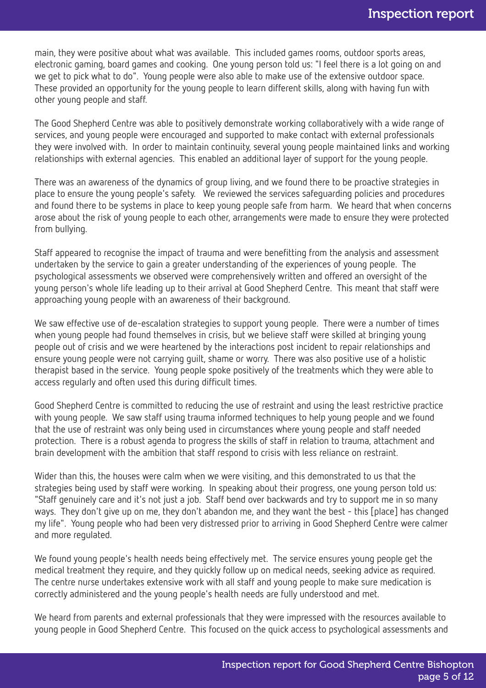main, they were positive about what was available. This included games rooms, outdoor sports areas, electronic gaming, board games and cooking. One young person told us: "I feel there is a lot going on and we get to pick what to do". Young people were also able to make use of the extensive outdoor space. These provided an opportunity for the young people to learn different skills, along with having fun with other young people and staff.

The Good Shepherd Centre was able to positively demonstrate working collaboratively with a wide range of services, and young people were encouraged and supported to make contact with external professionals they were involved with. In order to maintain continuity, several young people maintained links and working relationships with external agencies. This enabled an additional layer of support for the young people.

There was an awareness of the dynamics of group living, and we found there to be proactive strategies in place to ensure the young people's safety. We reviewed the services safeguarding policies and procedures and found there to be systems in place to keep young people safe from harm. We heard that when concerns arose about the risk of young people to each other, arrangements were made to ensure they were protected from bullying.

Staff appeared to recognise the impact of trauma and were benefitting from the analysis and assessment undertaken by the service to gain a greater understanding of the experiences of young people. The psychological assessments we observed were comprehensively written and offered an oversight of the young person's whole life leading up to their arrival at Good Shepherd Centre. This meant that staff were approaching young people with an awareness of their background.

We saw effective use of de-escalation strategies to support young people. There were a number of times when young people had found themselves in crisis, but we believe staff were skilled at bringing young people out of crisis and we were heartened by the interactions post incident to repair relationships and ensure young people were not carrying guilt, shame or worry. There was also positive use of a holistic therapist based in the service. Young people spoke positively of the treatments which they were able to access regularly and often used this during difficult times.

Good Shepherd Centre is committed to reducing the use of restraint and using the least restrictive practice with young people. We saw staff using trauma informed techniques to help young people and we found that the use of restraint was only being used in circumstances where young people and staff needed protection. There is a robust agenda to progress the skills of staff in relation to trauma, attachment and brain development with the ambition that staff respond to crisis with less reliance on restraint.

Wider than this, the houses were calm when we were visiting, and this demonstrated to us that the strategies being used by staff were working. In speaking about their progress, one young person told us: "Staff genuinely care and it's not just a job. Staff bend over backwards and try to support me in so many ways. They don't give up on me, they don't abandon me, and they want the best - this [place] has changed my life". Young people who had been very distressed prior to arriving in Good Shepherd Centre were calmer and more regulated.

We found young people's health needs being effectively met. The service ensures young people get the medical treatment they require, and they quickly follow up on medical needs, seeking advice as required. The centre nurse undertakes extensive work with all staff and young people to make sure medication is correctly administered and the young people's health needs are fully understood and met.

We heard from parents and external professionals that they were impressed with the resources available to young people in Good Shepherd Centre. This focused on the quick access to psychological assessments and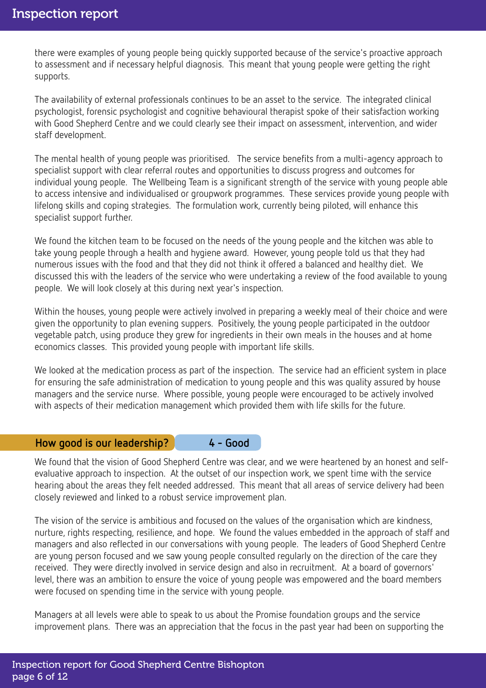there were examples of young people being quickly supported because of the service's proactive approach to assessment and if necessary helpful diagnosis. This meant that young people were getting the right supports.

The availability of external professionals continues to be an asset to the service. The integrated clinical psychologist, forensic psychologist and cognitive behavioural therapist spoke of their satisfaction working with Good Shepherd Centre and we could clearly see their impact on assessment, intervention, and wider staff development.

The mental health of young people was prioritised. The service benefits from a multi-agency approach to specialist support with clear referral routes and opportunities to discuss progress and outcomes for individual young people. The Wellbeing Team is a significant strength of the service with young people able to access intensive and individualised or groupwork programmes. These services provide young people with lifelong skills and coping strategies. The formulation work, currently being piloted, will enhance this specialist support further.

We found the kitchen team to be focused on the needs of the young people and the kitchen was able to take young people through a health and hygiene award. However, young people told us that they had numerous issues with the food and that they did not think it offered a balanced and healthy diet. We discussed this with the leaders of the service who were undertaking a review of the food available to young people. We will look closely at this during next year's inspection.

Within the houses, young people were actively involved in preparing a weekly meal of their choice and were given the opportunity to plan evening suppers. Positively, the young people participated in the outdoor vegetable patch, using produce they grew for ingredients in their own meals in the houses and at home economics classes. This provided young people with important life skills.

We looked at the medication process as part of the inspection. The service had an efficient system in place for ensuring the safe administration of medication to young people and this was quality assured by house managers and the service nurse. Where possible, young people were encouraged to be actively involved with aspects of their medication management which provided them with life skills for the future.

#### How good is our leadership? 4 - Good

We found that the vision of Good Shepherd Centre was clear, and we were heartened by an honest and selfevaluative approach to inspection. At the outset of our inspection work, we spent time with the service hearing about the areas they felt needed addressed. This meant that all areas of service delivery had been closely reviewed and linked to a robust service improvement plan.

The vision of the service is ambitious and focused on the values of the organisation which are kindness, nurture, rights respecting, resilience, and hope. We found the values embedded in the approach of staff and managers and also reflected in our conversations with young people. The leaders of Good Shepherd Centre are young person focused and we saw young people consulted regularly on the direction of the care they received. They were directly involved in service design and also in recruitment. At a board of governors' level, there was an ambition to ensure the voice of young people was empowered and the board members were focused on spending time in the service with young people.

Managers at all levels were able to speak to us about the Promise foundation groups and the service improvement plans. There was an appreciation that the focus in the past year had been on supporting the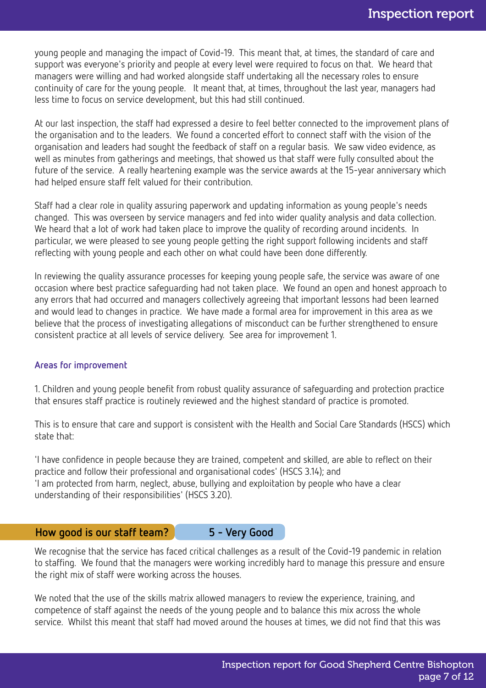young people and managing the impact of Covid-19. This meant that, at times, the standard of care and support was everyone's priority and people at every level were required to focus on that. We heard that managers were willing and had worked alongside staff undertaking all the necessary roles to ensure continuity of care for the young people. It meant that, at times, throughout the last year, managers had less time to focus on service development, but this had still continued.

At our last inspection, the staff had expressed a desire to feel better connected to the improvement plans of the organisation and to the leaders. We found a concerted effort to connect staff with the vision of the organisation and leaders had sought the feedback of staff on a regular basis. We saw video evidence, as well as minutes from gatherings and meetings, that showed us that staff were fully consulted about the future of the service. A really heartening example was the service awards at the 15-year anniversary which had helped ensure staff felt valued for their contribution.

Staff had a clear role in quality assuring paperwork and updating information as young people's needs changed. This was overseen by service managers and fed into wider quality analysis and data collection. We heard that a lot of work had taken place to improve the quality of recording around incidents. In particular, we were pleased to see young people getting the right support following incidents and staff reflecting with young people and each other on what could have been done differently.

In reviewing the quality assurance processes for keeping young people safe, the service was aware of one occasion where best practice safeguarding had not taken place. We found an open and honest approach to any errors that had occurred and managers collectively agreeing that important lessons had been learned and would lead to changes in practice. We have made a formal area for improvement in this area as we believe that the process of investigating allegations of misconduct can be further strengthened to ensure consistent practice at all levels of service delivery. See area for improvement 1.

#### Areas for improvement

1. Children and young people benefit from robust quality assurance of safeguarding and protection practice that ensures staff practice is routinely reviewed and the highest standard of practice is promoted.

This is to ensure that care and support is consistent with the Health and Social Care Standards (HSCS) which state that:

'I have confidence in people because they are trained, competent and skilled, are able to reflect on their practice and follow their professional and organisational codes' (HSCS 3.14); and 'I am protected from harm, neglect, abuse, bullying and exploitation by people who have a clear understanding of their responsibilities' (HSCS 3.20).

#### How good is our staff team? 5 - Very Good

We recognise that the service has faced critical challenges as a result of the Covid-19 pandemic in relation to staffing. We found that the managers were working incredibly hard to manage this pressure and ensure the right mix of staff were working across the houses.

We noted that the use of the skills matrix allowed managers to review the experience, training, and competence of staff against the needs of the young people and to balance this mix across the whole service. Whilst this meant that staff had moved around the houses at times, we did not find that this was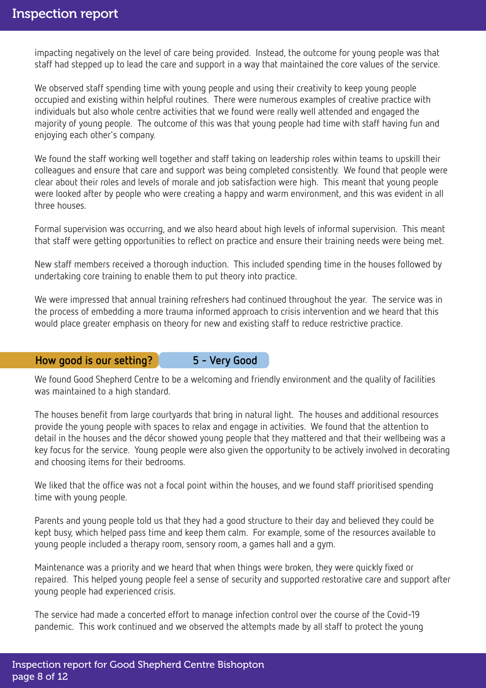impacting negatively on the level of care being provided. Instead, the outcome for young people was that staff had stepped up to lead the care and support in a way that maintained the core values of the service.

We observed staff spending time with young people and using their creativity to keep young people occupied and existing within helpful routines. There were numerous examples of creative practice with individuals but also whole centre activities that we found were really well attended and engaged the majority of young people. The outcome of this was that young people had time with staff having fun and enjoying each other's company.

We found the staff working well together and staff taking on leadership roles within teams to upskill their colleagues and ensure that care and support was being completed consistently. We found that people were clear about their roles and levels of morale and job satisfaction were high. This meant that young people were looked after by people who were creating a happy and warm environment, and this was evident in all three houses.

Formal supervision was occurring, and we also heard about high levels of informal supervision. This meant that staff were getting opportunities to reflect on practice and ensure their training needs were being met.

New staff members received a thorough induction. This included spending time in the houses followed by undertaking core training to enable them to put theory into practice.

We were impressed that annual training refreshers had continued throughout the year. The service was in the process of embedding a more trauma informed approach to crisis intervention and we heard that this would place greater emphasis on theory for new and existing staff to reduce restrictive practice.

#### How good is our setting? 5 - Very Good

We found Good Shepherd Centre to be a welcoming and friendly environment and the quality of facilities was maintained to a high standard.

The houses benefit from large courtyards that bring in natural light. The houses and additional resources provide the young people with spaces to relax and engage in activities. We found that the attention to detail in the houses and the décor showed young people that they mattered and that their wellbeing was a key focus for the service. Young people were also given the opportunity to be actively involved in decorating and choosing items for their bedrooms.

We liked that the office was not a focal point within the houses, and we found staff prioritised spending time with young people.

Parents and young people told us that they had a good structure to their day and believed they could be kept busy, which helped pass time and keep them calm. For example, some of the resources available to young people included a therapy room, sensory room, a games hall and a gym.

Maintenance was a priority and we heard that when things were broken, they were quickly fixed or repaired. This helped young people feel a sense of security and supported restorative care and support after young people had experienced crisis.

The service had made a concerted effort to manage infection control over the course of the Covid-19 pandemic. This work continued and we observed the attempts made by all staff to protect the young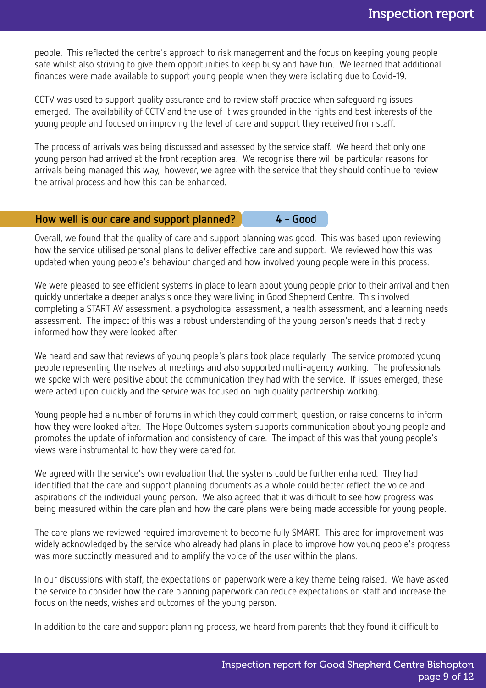people. This reflected the centre's approach to risk management and the focus on keeping young people safe whilst also striving to give them opportunities to keep busy and have fun. We learned that additional finances were made available to support young people when they were isolating due to Covid-19.

CCTV was used to support quality assurance and to review staff practice when safeguarding issues emerged. The availability of CCTV and the use of it was grounded in the rights and best interests of the young people and focused on improving the level of care and support they received from staff.

The process of arrivals was being discussed and assessed by the service staff. We heard that only one young person had arrived at the front reception area. We recognise there will be particular reasons for arrivals being managed this way, however, we agree with the service that they should continue to review the arrival process and how this can be enhanced.

#### How well is our care and support planned? 4 - Good

Overall, we found that the quality of care and support planning was good. This was based upon reviewing how the service utilised personal plans to deliver effective care and support. We reviewed how this was updated when young people's behaviour changed and how involved young people were in this process.

We were pleased to see efficient systems in place to learn about young people prior to their arrival and then quickly undertake a deeper analysis once they were living in Good Shepherd Centre. This involved completing a START AV assessment, a psychological assessment, a health assessment, and a learning needs assessment. The impact of this was a robust understanding of the young person's needs that directly informed how they were looked after.

We heard and saw that reviews of young people's plans took place regularly. The service promoted young people representing themselves at meetings and also supported multi-agency working. The professionals we spoke with were positive about the communication they had with the service. If issues emerged, these were acted upon quickly and the service was focused on high quality partnership working.

Young people had a number of forums in which they could comment, question, or raise concerns to inform how they were looked after. The Hope Outcomes system supports communication about young people and promotes the update of information and consistency of care. The impact of this was that young people's views were instrumental to how they were cared for.

We agreed with the service's own evaluation that the systems could be further enhanced. They had identified that the care and support planning documents as a whole could better reflect the voice and aspirations of the individual young person. We also agreed that it was difficult to see how progress was being measured within the care plan and how the care plans were being made accessible for young people.

The care plans we reviewed required improvement to become fully SMART. This area for improvement was widely acknowledged by the service who already had plans in place to improve how young people's progress was more succinctly measured and to amplify the voice of the user within the plans.

In our discussions with staff, the expectations on paperwork were a key theme being raised. We have asked the service to consider how the care planning paperwork can reduce expectations on staff and increase the focus on the needs, wishes and outcomes of the young person.

In addition to the care and support planning process, we heard from parents that they found it difficult to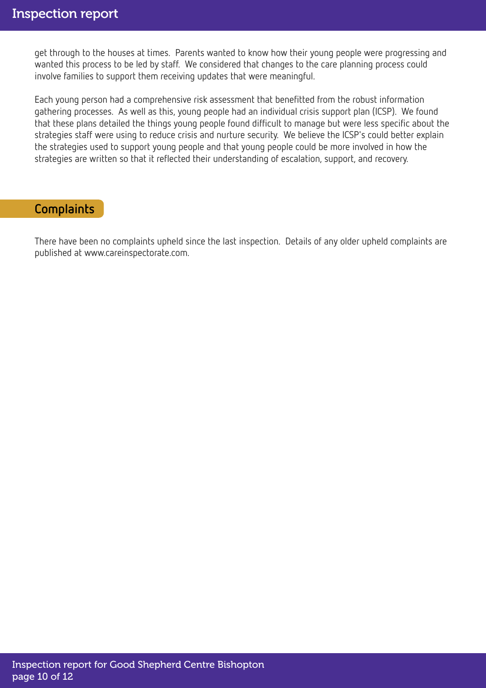get through to the houses at times. Parents wanted to know how their young people were progressing and wanted this process to be led by staff. We considered that changes to the care planning process could involve families to support them receiving updates that were meaningful.

Each young person had a comprehensive risk assessment that benefitted from the robust information gathering processes. As well as this, young people had an individual crisis support plan (ICSP). We found that these plans detailed the things young people found difficult to manage but were less specific about the strategies staff were using to reduce crisis and nurture security. We believe the ICSP's could better explain the strategies used to support young people and that young people could be more involved in how the strategies are written so that it reflected their understanding of escalation, support, and recovery.

## **Complaints**

There have been no complaints upheld since the last inspection. Details of any older upheld complaints are published at www.careinspectorate.com.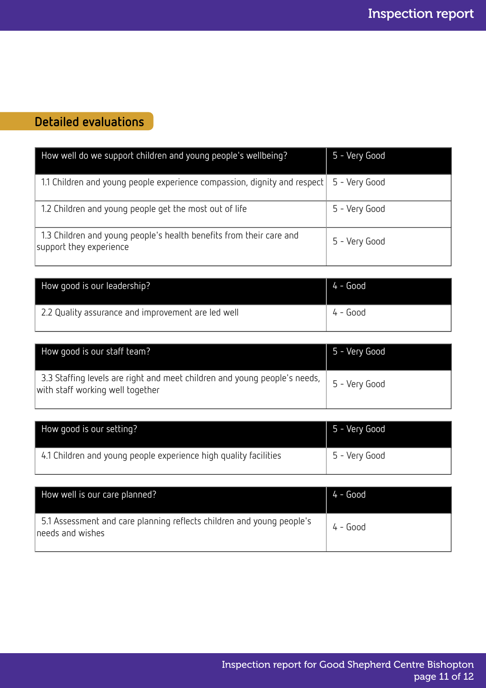# Detailed evaluations

| How well do we support children and young people's wellbeing?                                  | 5 - Very Good |
|------------------------------------------------------------------------------------------------|---------------|
| 1.1 Children and young people experience compassion, dignity and respect   5 - Very Good       |               |
| 1.2 Children and young people get the most out of life                                         | 5 - Very Good |
| 1.3 Children and young people's health benefits from their care and<br>support they experience | 5 - Very Good |

| How good is our leadership?                        | $4 - Good$ |
|----------------------------------------------------|------------|
| 2.2 Quality assurance and improvement are led well | $4 - Good$ |

| How good is our staff team?                                                                                   | 5 - Very Good |
|---------------------------------------------------------------------------------------------------------------|---------------|
| 3.3 Staffing levels are right and meet children and young people's needs,<br>with staff working well together | 5 - Very Good |

| How good is our setting?                                         | 5 - Very Good |
|------------------------------------------------------------------|---------------|
| 4.1 Children and young people experience high quality facilities | 5 - Very Good |

| How well is our care planned?                                                             | $4 - Good$ |
|-------------------------------------------------------------------------------------------|------------|
| 5.1 Assessment and care planning reflects children and young people's<br>needs and wishes | $4 - Good$ |